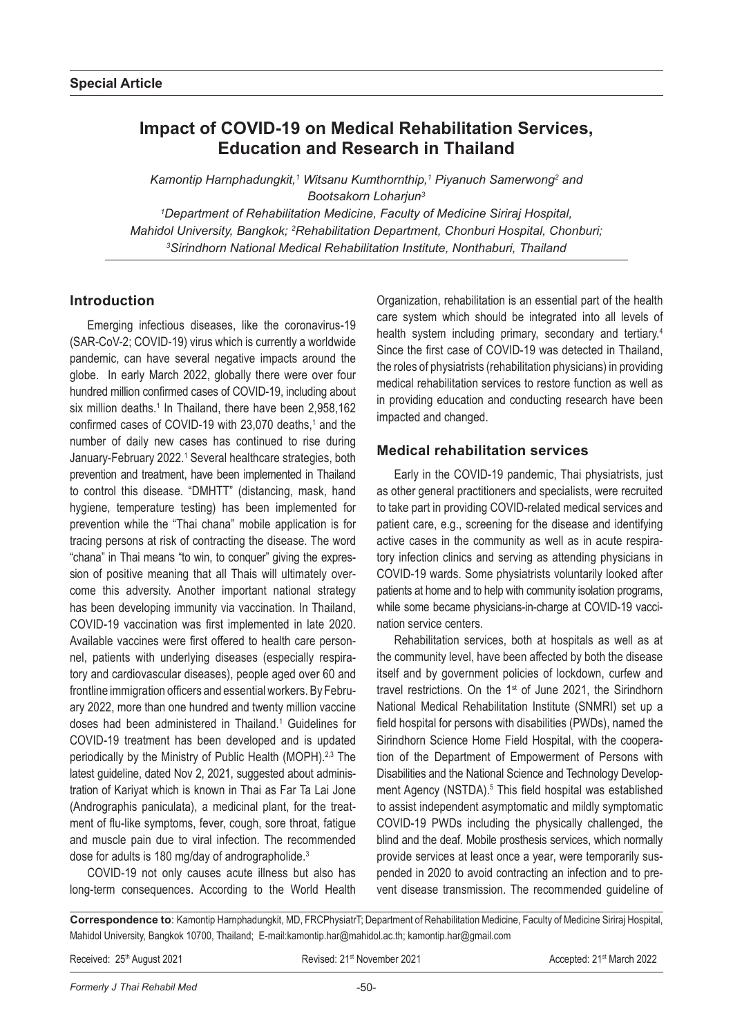# **Impact of COVID-19 on Medical Rehabilitation Services, Education and Research in Thailand**

Kamontip Harnphadungkit,<sup>1</sup> Witsanu Kumthornthip,<sup>1</sup> Piyanuch Samerwong<sup>2</sup> and *Bootsakorn Loharjun3 1 Department of Rehabilitation Medicine, Faculty of Medicine Siriraj Hospital, Mahidol University, Bangkok; 2 Rehabilitation Department, Chonburi Hospital, Chonburi; 3 Sirindhorn National Medical Rehabilitation Institute, Nonthaburi, Thailand*

## **Introduction**

Emerging infectious diseases, like the coronavirus-19 (SAR-CoV-2; COVID-19) virus which is currently a worldwide pandemic, can have several negative impacts around the globe. In early March 2022, globally there were over four hundred million confirmed cases of COVID-19, including about six million deaths.<sup>1</sup> In Thailand, there have been 2,958,162 confirmed cases of COVID-19 with 23,070 deaths,<sup>1</sup> and the number of daily new cases has continued to rise during January-February 2022.<sup>1</sup> Several healthcare strategies, both prevention and treatment, have been implemented in Thailand to control this disease. "DMHTT" (distancing, mask, hand hygiene, temperature testing) has been implemented for prevention while the "Thai chana" mobile application is for tracing persons at risk of contracting the disease. The word "chana" in Thai means "to win, to conquer" giving the expression of positive meaning that all Thais will ultimately overcome this adversity. Another important national strategy has been developing immunity via vaccination. In Thailand, COVID-19 vaccination was first implemented in late 2020. Available vaccines were first offered to health care personnel, patients with underlying diseases (especially respiratory and cardiovascular diseases), people aged over 60 and frontline immigration officers and essential workers. By February 2022, more than one hundred and twenty million vaccine doses had been administered in Thailand.<sup>1</sup> Guidelines for COVID-19 treatment has been developed and is updated periodically by the Ministry of Public Health (MOPH).<sup>2,3</sup> The latest guideline, dated Nov 2, 2021, suggested about administration of Kariyat which is known in Thai as Far Ta Lai Jone (Andrographis paniculata), a medicinal plant, for the treatment of flu-like symptoms, fever, cough, sore throat, fatigue and muscle pain due to viral infection. The recommended dose for adults is 180 mg/day of andrographolide.<sup>3</sup>

COVID-19 not only causes acute illness but also has long-term consequences. According to the World Health Organization, rehabilitation is an essential part of the health care system which should be integrated into all levels of health system including primary, secondary and tertiary.<sup>4</sup> Since the first case of COVID-19 was detected in Thailand, the roles of physiatrists (rehabilitation physicians) in providing medical rehabilitation services to restore function as well as in providing education and conducting research have been impacted and changed.

## **Medical rehabilitation services**

Early in the COVID-19 pandemic, Thai physiatrists, just as other general practitioners and specialists, were recruited to take part in providing COVID-related medical services and patient care, e.g., screening for the disease and identifying active cases in the community as well as in acute respiratory infection clinics and serving as attending physicians in COVID-19 wards. Some physiatrists voluntarily looked after patients at home and to help with community isolation programs, while some became physicians-in-charge at COVID-19 vaccination service centers.

Rehabilitation services, both at hospitals as well as at the community level, have been affected by both the disease itself and by government policies of lockdown, curfew and travel restrictions. On the 1st of June 2021, the Sirindhorn National Medical Rehabilitation Institute (SNMRI) set up a field hospital for persons with disabilities (PWDs), named the Sirindhorn Science Home Field Hospital, with the cooperation of the Department of Empowerment of Persons with Disabilities and the National Science and Technology Development Agency (NSTDA).<sup>5</sup> This field hospital was established to assist independent asymptomatic and mildly symptomatic COVID-19 PWDs including the physically challenged, the blind and the deaf. Mobile prosthesis services, which normally provide services at least once a year, were temporarily suspended in 2020 to avoid contracting an infection and to prevent disease transmission. The recommended guideline of

**Correspondence to**: Kamontip Harnphadungkit, MD, FRCPhysiatrT; Department of Rehabilitation Medicine, Faculty of Medicine Siriraj Hospital, Mahidol University, Bangkok 10700, Thailand; E-mail:kamontip.har@mahidol.ac.th; kamontip.har@gmail.com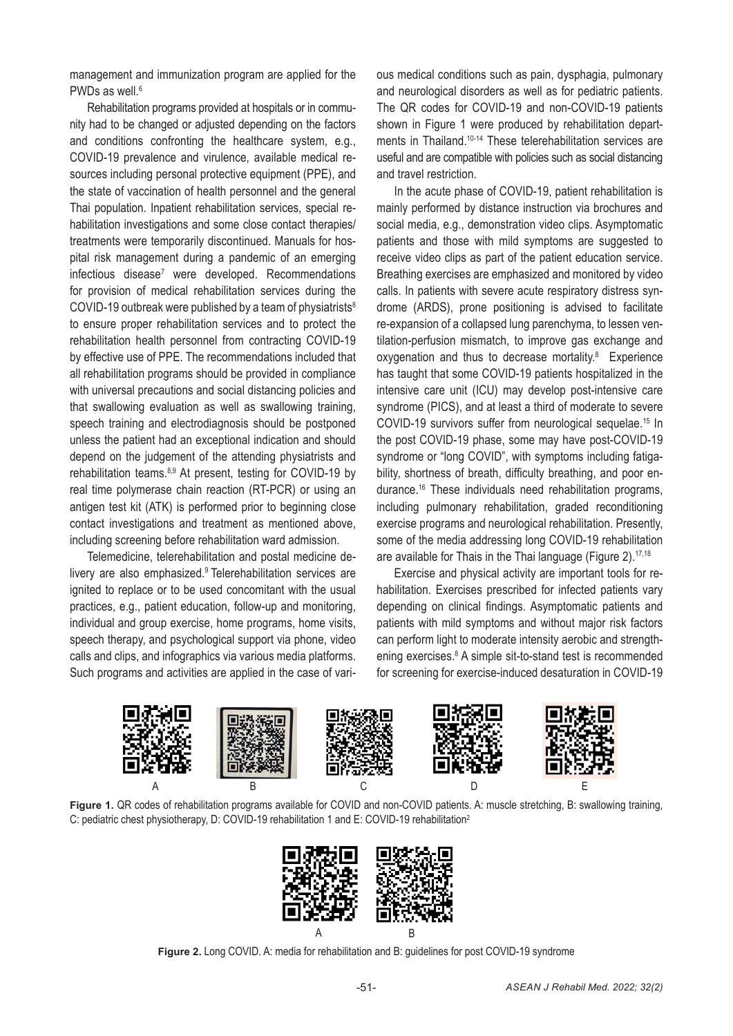management and immunization program are applied for the PWDs as well.<sup>6</sup>

Rehabilitation programs provided at hospitals or in community had to be changed or adjusted depending on the factors and conditions confronting the healthcare system, e.g., COVID-19 prevalence and virulence, available medical resources including personal protective equipment (PPE), and the state of vaccination of health personnel and the general Thai population. Inpatient rehabilitation services, special rehabilitation investigations and some close contact therapies/ treatments were temporarily discontinued. Manuals for hospital risk management during a pandemic of an emerging infectious disease<sup>7</sup> were developed. Recommendations for provision of medical rehabilitation services during the COVID-19 outbreak were published by a team of physiatrists<sup>8</sup> to ensure proper rehabilitation services and to protect the rehabilitation health personnel from contracting COVID-19 by effective use of PPE. The recommendations included that all rehabilitation programs should be provided in compliance with universal precautions and social distancing policies and that swallowing evaluation as well as swallowing training, speech training and electrodiagnosis should be postponed unless the patient had an exceptional indication and should depend on the judgement of the attending physiatrists and rehabilitation teams.<sup>8,9</sup> At present, testing for COVID-19 by real time polymerase chain reaction (RT-PCR) or using an antigen test kit (ATK) is performed prior to beginning close contact investigations and treatment as mentioned above, including screening before rehabilitation ward admission.

Telemedicine, telerehabilitation and postal medicine delivery are also emphasized.9 Telerehabilitation services are ignited to replace or to be used concomitant with the usual practices, e.g., patient education, follow-up and monitoring, individual and group exercise, home programs, home visits, speech therapy, and psychological support via phone, video calls and clips, and infographics via various media platforms. Such programs and activities are applied in the case of various medical conditions such as pain, dysphagia, pulmonary and neurological disorders as well as for pediatric patients. The QR codes for COVID-19 and non-COVID-19 patients shown in Figure 1 were produced by rehabilitation departments in Thailand.<sup>10-14</sup> These telerehabilitation services are useful and are compatible with policies such as social distancing and travel restriction.

In the acute phase of COVID-19, patient rehabilitation is mainly performed by distance instruction via brochures and social media, e.g., demonstration video clips. Asymptomatic patients and those with mild symptoms are suggested to receive video clips as part of the patient education service. Breathing exercises are emphasized and monitored by video calls. In patients with severe acute respiratory distress syndrome (ARDS), prone positioning is advised to facilitate re-expansion of a collapsed lung parenchyma, to lessen ventilation-perfusion mismatch, to improve gas exchange and oxygenation and thus to decrease mortality.<sup>8</sup> Experience has taught that some COVID-19 patients hospitalized in the intensive care unit (ICU) may develop post-intensive care syndrome (PICS), and at least a third of moderate to severe COVID-19 survivors suffer from neurological sequelae.15 In the post COVID-19 phase, some may have post-COVID-19 syndrome or "long COVID", with symptoms including fatigability, shortness of breath, difficulty breathing, and poor endurance.16 These individuals need rehabilitation programs, including pulmonary rehabilitation, graded reconditioning exercise programs and neurological rehabilitation. Presently, some of the media addressing long COVID-19 rehabilitation are available for Thais in the Thai language (Figure 2).<sup>17,18</sup>

Exercise and physical activity are important tools for rehabilitation. Exercises prescribed for infected patients vary depending on clinical findings. Asymptomatic patients and patients with mild symptoms and without major risk factors can perform light to moderate intensity aerobic and strengthening exercises.<sup>8</sup> A simple sit-to-stand test is recommended for screening for exercise-induced desaturation in COVID-19







**Figure 2.** Long COVID. A: media for rehabilitation and B: guidelines for post COVID-19 syndrome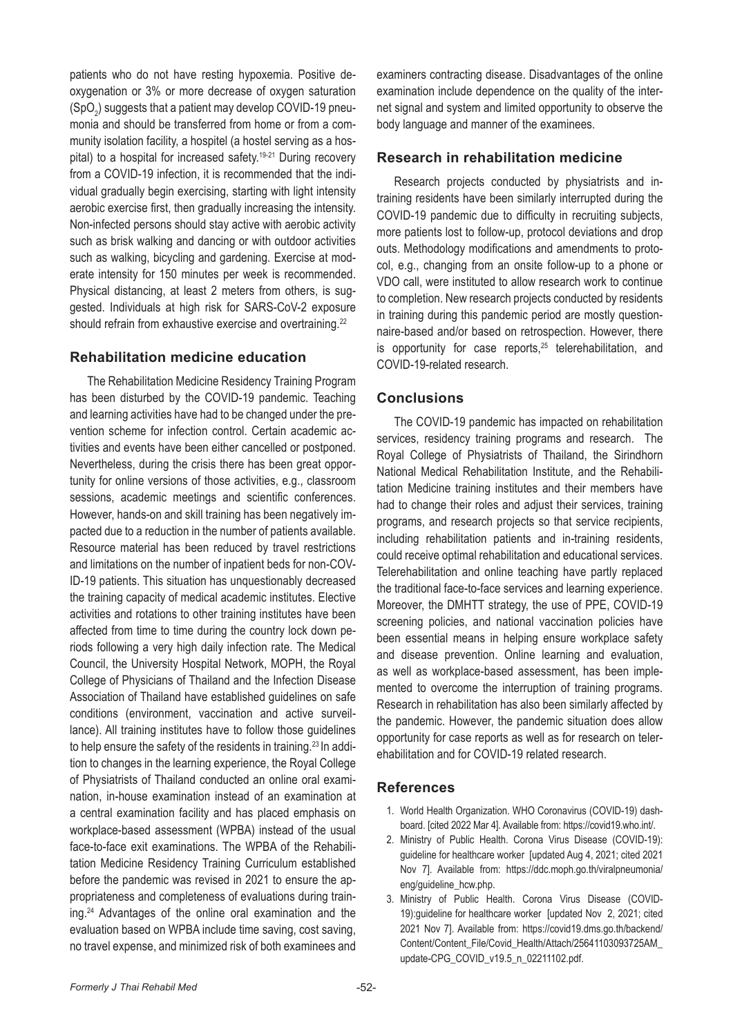patients who do not have resting hypoxemia. Positive deoxygenation or 3% or more decrease of oxygen saturation (SpO $_{\rm 2}$ ) suggests that a patient may develop COVID-19 pneumonia and should be transferred from home or from a community isolation facility, a hospitel (a hostel serving as a hospital) to a hospital for increased safety.<sup>19-21</sup> During recovery from a COVID-19 infection, it is recommended that the individual gradually begin exercising, starting with light intensity aerobic exercise first, then gradually increasing the intensity. Non-infected persons should stay active with aerobic activity such as brisk walking and dancing or with outdoor activities such as walking, bicycling and gardening. Exercise at moderate intensity for 150 minutes per week is recommended. Physical distancing, at least 2 meters from others, is suggested. Individuals at high risk for SARS-CoV-2 exposure should refrain from exhaustive exercise and overtraining.<sup>22</sup>

#### **Rehabilitation medicine education**

The Rehabilitation Medicine Residency Training Program has been disturbed by the COVID-19 pandemic. Teaching and learning activities have had to be changed under the prevention scheme for infection control. Certain academic activities and events have been either cancelled or postponed. Nevertheless, during the crisis there has been great opportunity for online versions of those activities, e.g., classroom sessions, academic meetings and scientific conferences. However, hands-on and skill training has been negatively impacted due to a reduction in the number of patients available. Resource material has been reduced by travel restrictions and limitations on the number of inpatient beds for non-COV-ID-19 patients. This situation has unquestionably decreased the training capacity of medical academic institutes. Elective activities and rotations to other training institutes have been affected from time to time during the country lock down periods following a very high daily infection rate. The Medical Council, the University Hospital Network, MOPH, the Royal College of Physicians of Thailand and the Infection Disease Association of Thailand have established guidelines on safe conditions (environment, vaccination and active surveillance). All training institutes have to follow those guidelines to help ensure the safety of the residents in training.<sup>23</sup> In addition to changes in the learning experience, the Royal College of Physiatrists of Thailand conducted an online oral examination, in-house examination instead of an examination at a central examination facility and has placed emphasis on workplace-based assessment (WPBA) instead of the usual face-to-face exit examinations. The WPBA of the Rehabilitation Medicine Residency Training Curriculum established before the pandemic was revised in 2021 to ensure the appropriateness and completeness of evaluations during training.24 Advantages of the online oral examination and the evaluation based on WPBA include time saving, cost saving, no travel expense, and minimized risk of both examinees and

examiners contracting disease. Disadvantages of the online examination include dependence on the quality of the internet signal and system and limited opportunity to observe the body language and manner of the examinees.

### **Research in rehabilitation medicine**

Research projects conducted by physiatrists and intraining residents have been similarly interrupted during the COVID-19 pandemic due to difficulty in recruiting subjects, more patients lost to follow-up, protocol deviations and drop outs. Methodology modifications and amendments to protocol, e.g., changing from an onsite follow-up to a phone or VDO call, were instituted to allow research work to continue to completion. New research projects conducted by residents in training during this pandemic period are mostly questionnaire-based and/or based on retrospection. However, there is opportunity for case reports, $25$  telerehabilitation, and COVID-19-related research.

# **Conclusions**

The COVID-19 pandemic has impacted on rehabilitation services, residency training programs and research. The Royal College of Physiatrists of Thailand, the Sirindhorn National Medical Rehabilitation Institute, and the Rehabilitation Medicine training institutes and their members have had to change their roles and adjust their services, training programs, and research projects so that service recipients, including rehabilitation patients and in-training residents, could receive optimal rehabilitation and educational services. Telerehabilitation and online teaching have partly replaced the traditional face-to-face services and learning experience. Moreover, the DMHTT strategy, the use of PPE, COVID-19 screening policies, and national vaccination policies have been essential means in helping ensure workplace safety and disease prevention. Online learning and evaluation, as well as workplace-based assessment, has been implemented to overcome the interruption of training programs. Research in rehabilitation has also been similarly affected by the pandemic. However, the pandemic situation does allow opportunity for case reports as well as for research on telerehabilitation and for COVID-19 related research.

# **References**

- 1. World Health Organization. WHO Coronavirus (COVID-19) dashboard. [cited 2022 Mar 4]. Available from: https://covid19.who.int/.
- 2. Ministry of Public Health. Corona Virus Disease (COVID-19): guideline for healthcare worker [updated Aug 4, 2021; cited 2021 Nov 7]. Available from: https://ddc.moph.go.th/viralpneumonia/ eng/guideline\_hcw.php.
- 3. Ministry of Public Health. Corona Virus Disease (COVID-19):guideline for healthcare worker [updated Nov 2, 2021; cited 2021 Nov 7]. Available from: https://covid19.dms.go.th/backend/ Content/Content\_File/Covid\_Health/Attach/25641103093725AM\_ update-CPG\_COVID\_v19.5\_n\_02211102.pdf.